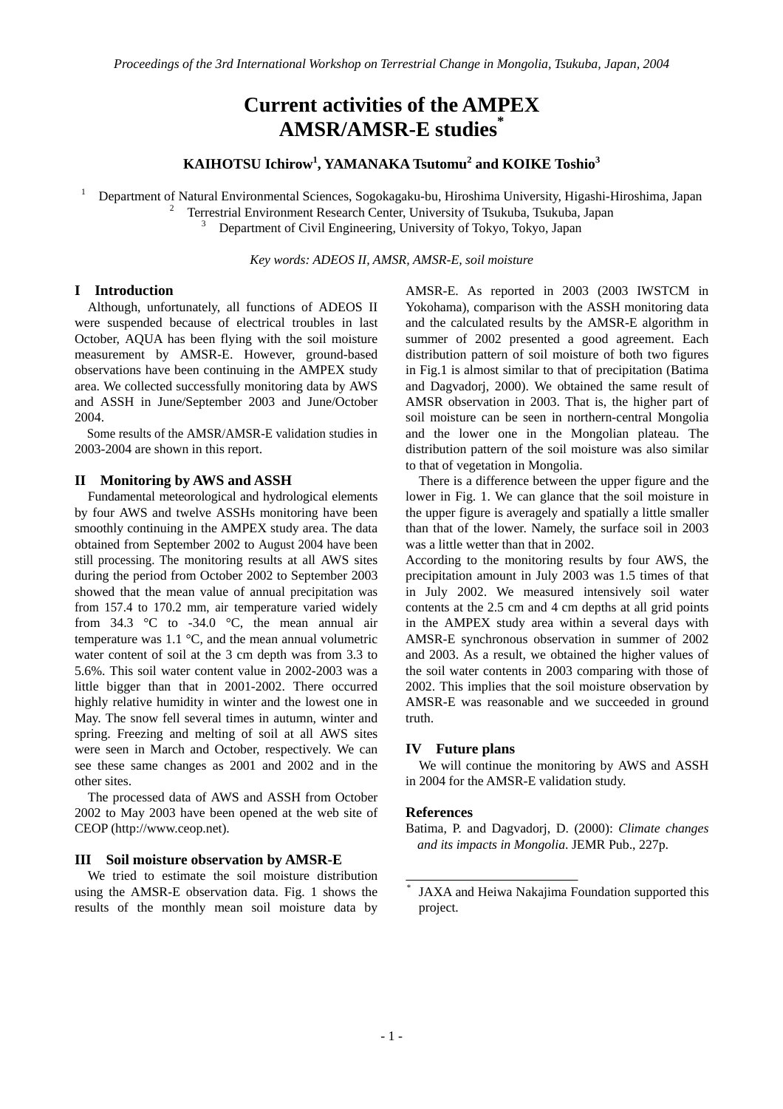# **Current activities of the AMPEX AMSR/AMSR-E studies\***

# **KAIHOTSU Ichirow1 , YAMANAKA Tsutomu<sup>2</sup> and KOIKE Toshio<sup>3</sup>**

1 Department of Natural Environmental Sciences, Sogokagaku-bu, Hiroshima University, Higashi-Hiroshima, Japan 2

Terrestrial Environment Research Center, University of Tsukuba, Tsukuba, Japan 3

<sup>3</sup> Department of Civil Engineering, University of Tokyo, Tokyo, Japan

*Key words: ADEOS II, AMSR, AMSR-E, soil moisture* 

## **I Introduction**

Although, unfortunately, all functions of ADEOS II were suspended because of electrical troubles in last October, AQUA has been flying with the soil moisture measurement by AMSR-E. However, ground-based observations have been continuing in the AMPEX study area. We collected successfully monitoring data by AWS and ASSH in June/September 2003 and June/October 2004.

Some results of the AMSR/AMSR-E validation studies in 2003-2004 are shown in this report.

#### **II Monitoring by AWS and ASSH**

 Fundamental meteorological and hydrological elements by four AWS and twelve ASSHs monitoring have been smoothly continuing in the AMPEX study area. The data obtained from September 2002 to August 2004 have been still processing. The monitoring results at all AWS sites during the period from October 2002 to September 2003 showed that the mean value of annual precipitation was from 157.4 to 170.2 mm, air temperature varied widely from  $34.3 \text{ °C}$  to  $-34.0 \text{ °C}$ , the mean annual air temperature was 1.1 °C, and the mean annual volumetric water content of soil at the 3 cm depth was from 3.3 to 5.6%. This soil water content value in 2002-2003 was a little bigger than that in 2001-2002. There occurred highly relative humidity in winter and the lowest one in May. The snow fell several times in autumn, winter and spring. Freezing and melting of soil at all AWS sites were seen in March and October, respectively. We can see these same changes as 2001 and 2002 and in the other sites.

 The processed data of AWS and ASSH from October 2002 to May 2003 have been opened at the web site of CEOP (http://www.ceop.net).

#### **III Soil moisture observation by AMSR-E**

 We tried to estimate the soil moisture distribution using the AMSR-E observation data. Fig. 1 shows the results of the monthly mean soil moisture data by

AMSR-E. As reported in 2003 (2003 IWSTCM in Yokohama), comparison with the ASSH monitoring data and the calculated results by the AMSR-E algorithm in summer of 2002 presented a good agreement. Each distribution pattern of soil moisture of both two figures in Fig.1 is almost similar to that of precipitation (Batima and Dagvadorj, 2000). We obtained the same result of AMSR observation in 2003. That is, the higher part of soil moisture can be seen in northern-central Mongolia and the lower one in the Mongolian plateau. The distribution pattern of the soil moisture was also similar to that of vegetation in Mongolia.

There is a difference between the upper figure and the lower in Fig. 1. We can glance that the soil moisture in the upper figure is averagely and spatially a little smaller than that of the lower. Namely, the surface soil in 2003 was a little wetter than that in 2002.

According to the monitoring results by four AWS, the precipitation amount in July 2003 was 1.5 times of that in July 2002. We measured intensively soil water contents at the 2.5 cm and 4 cm depths at all grid points in the AMPEX study area within a several days with AMSR-E synchronous observation in summer of 2002 and 2003. As a result, we obtained the higher values of the soil water contents in 2003 comparing with those of 2002. This implies that the soil moisture observation by AMSR-E was reasonable and we succeeded in ground truth.

## **IV Future plans**

We will continue the monitoring by AWS and ASSH in 2004 for the AMSR-E validation study.

#### **References**

Batima, P. and Dagvadorj, D. (2000): *Climate changes and its impacts in Mongolia*. JEMR Pub., 227p.

<sup>\*</sup> JAXA and Heiwa Nakajima Foundation supported this project.